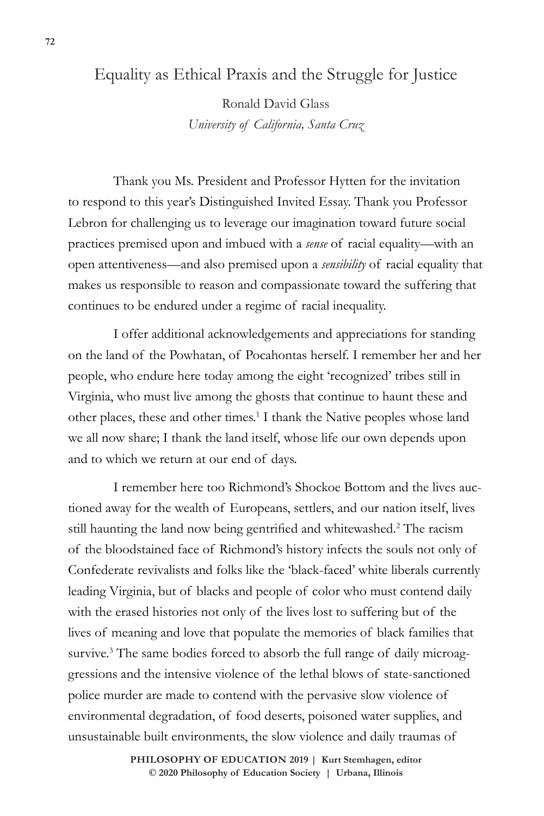## Equality as Ethical Praxis and the Struggle for Justice

Ronald David Glass *University of California, Santa Cruz*

Thank you Ms. President and Professor Hytten for the invitation to respond to this year's Distinguished Invited Essay. Thank you Professor Lebron for challenging us to leverage our imagination toward future social practices premised upon and imbued with a *sense* of racial equality—with an open attentiveness—and also premised upon a *sensibility* of racial equality that makes us responsible to reason and compassionate toward the suffering that continues to be endured under a regime of racial inequality.

I offer additional acknowledgements and appreciations for standing on the land of the Powhatan, of Pocahontas herself. I remember her and her people, who endure here today among the eight 'recognized' tribes still in Virginia, who must live among the ghosts that continue to haunt these and other places, these and other times.<sup>1</sup> I thank the Native peoples whose land we all now share; I thank the land itself, whose life our own depends upon and to which we return at our end of days.

I remember here too Richmond's Shockoe Bottom and the lives auctioned away for the wealth of Europeans, settlers, and our nation itself, lives still haunting the land now being gentrified and whitewashed.<sup>2</sup> The racism of the bloodstained face of Richmond's history infects the souls not only of Confederate revivalists and folks like the 'black-faced' white liberals currently leading Virginia, but of blacks and people of color who must contend daily with the erased histories not only of the lives lost to suffering but of the lives of meaning and love that populate the memories of black families that survive.<sup>3</sup> The same bodies forced to absorb the full range of daily microaggressions and the intensive violence of the lethal blows of state-sanctioned police murder are made to contend with the pervasive slow violence of environmental degradation, of food deserts, poisoned water supplies, and unsustainable built environments, the slow violence and daily traumas of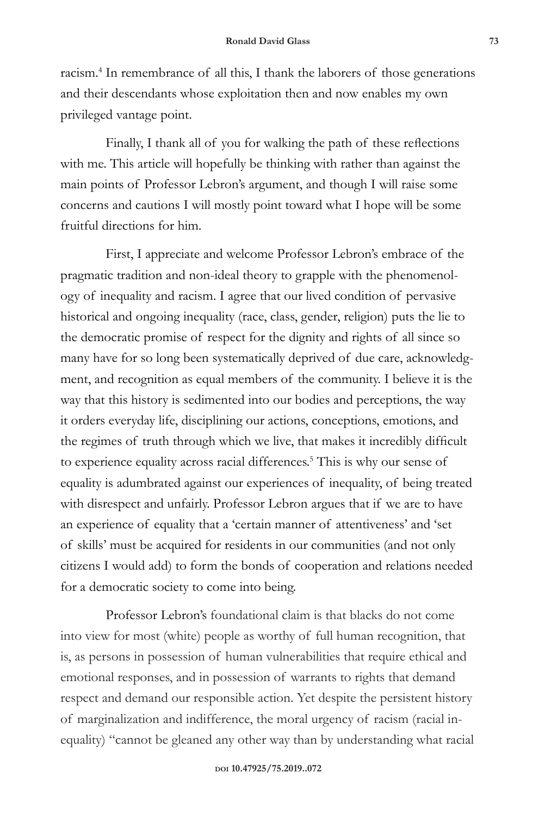racism.<sup>4</sup> In remembrance of all this, I thank the laborers of those generations and their descendants whose exploitation then and now enables my own privileged vantage point.

Finally, I thank all of you for walking the path of these reflections with me. This article will hopefully be thinking with rather than against the main points of Professor Lebron's argument, and though I will raise some concerns and cautions I will mostly point toward what I hope will be some fruitful directions for him.

First, I appreciate and welcome Professor Lebron's embrace of the pragmatic tradition and non-ideal theory to grapple with the phenomenology of inequality and racism. I agree that our lived condition of pervasive historical and ongoing inequality (race, class, gender, religion) puts the lie to the democratic promise of respect for the dignity and rights of all since so many have for so long been systematically deprived of due care, acknowledgment, and recognition as equal members of the community. I believe it is the way that this history is sedimented into our bodies and perceptions, the way it orders everyday life, disciplining our actions, conceptions, emotions, and the regimes of truth through which we live, that makes it incredibly difficult to experience equality across racial differences.<sup>5</sup> This is why our sense of equality is adumbrated against our experiences of inequality, of being treated with disrespect and unfairly. Professor Lebron argues that if we are to have an experience of equality that a 'certain manner of attentiveness' and 'set of skills' must be acquired for residents in our communities (and not only citizens I would add) to form the bonds of cooperation and relations needed for a democratic society to come into being.

Professor Lebron's foundational claim is that blacks do not come into view for most (white) people as worthy of full human recognition, that is, as persons in possession of human vulnerabilities that require ethical and emotional responses, and in possession of warrants to rights that demand respect and demand our responsible action. Yet despite the persistent history of marginalization and indifference, the moral urgency of racism (racial inequality) "cannot be gleaned any other way than by understanding what racial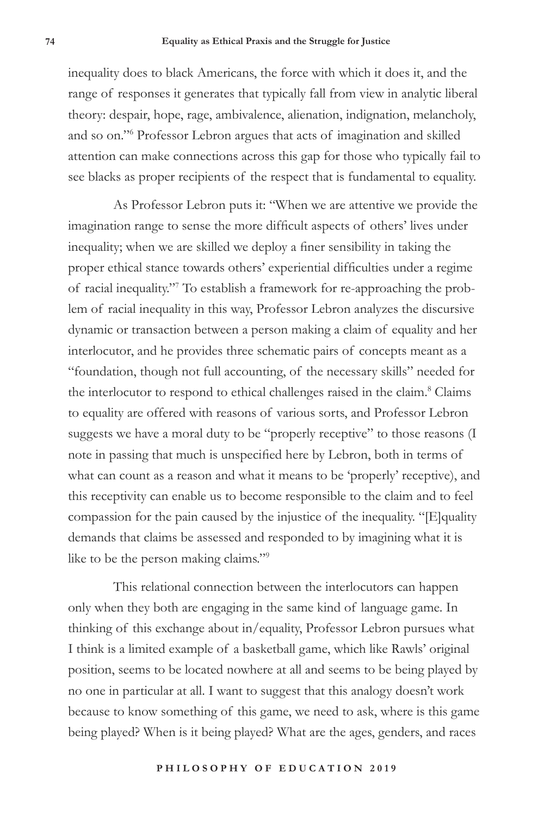inequality does to black Americans, the force with which it does it, and the range of responses it generates that typically fall from view in analytic liberal theory: despair, hope, rage, ambivalence, alienation, indignation, melancholy, and so on."6 Professor Lebron argues that acts of imagination and skilled attention can make connections across this gap for those who typically fail to see blacks as proper recipients of the respect that is fundamental to equality.

As Professor Lebron puts it: "When we are attentive we provide the imagination range to sense the more difficult aspects of others' lives under inequality; when we are skilled we deploy a finer sensibility in taking the proper ethical stance towards others' experiential difficulties under a regime of racial inequality."7 To establish a framework for re-approaching the problem of racial inequality in this way, Professor Lebron analyzes the discursive dynamic or transaction between a person making a claim of equality and her interlocutor, and he provides three schematic pairs of concepts meant as a "foundation, though not full accounting, of the necessary skills" needed for the interlocutor to respond to ethical challenges raised in the claim.<sup>8</sup> Claims to equality are offered with reasons of various sorts, and Professor Lebron suggests we have a moral duty to be "properly receptive" to those reasons (I note in passing that much is unspecified here by Lebron, both in terms of what can count as a reason and what it means to be 'properly' receptive), and this receptivity can enable us to become responsible to the claim and to feel compassion for the pain caused by the injustice of the inequality. "[E]quality demands that claims be assessed and responded to by imagining what it is like to be the person making claims."9

This relational connection between the interlocutors can happen only when they both are engaging in the same kind of language game. In thinking of this exchange about in/equality, Professor Lebron pursues what I think is a limited example of a basketball game, which like Rawls' original position, seems to be located nowhere at all and seems to be being played by no one in particular at all. I want to suggest that this analogy doesn't work because to know something of this game, we need to ask, where is this game being played? When is it being played? What are the ages, genders, and races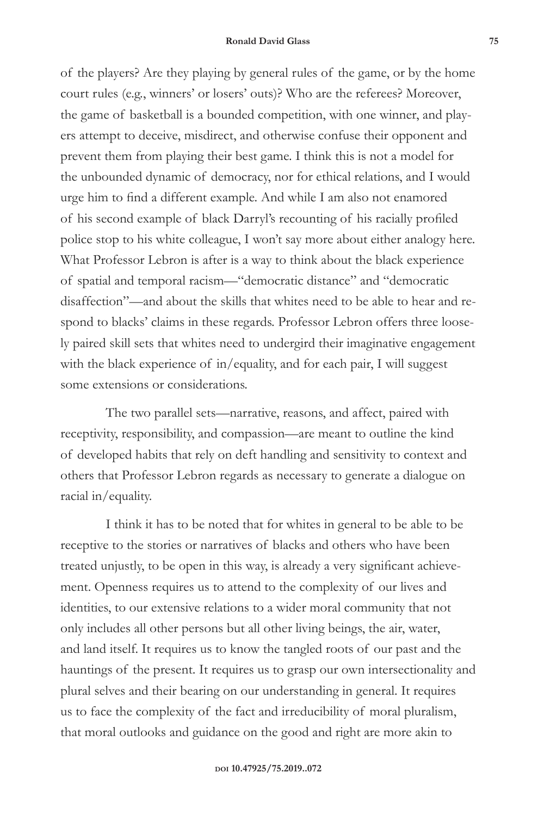of the players? Are they playing by general rules of the game, or by the home court rules (e.g., winners' or losers' outs)? Who are the referees? Moreover, the game of basketball is a bounded competition, with one winner, and players attempt to deceive, misdirect, and otherwise confuse their opponent and prevent them from playing their best game. I think this is not a model for the unbounded dynamic of democracy, nor for ethical relations, and I would urge him to find a different example. And while I am also not enamored of his second example of black Darryl's recounting of his racially profiled police stop to his white colleague, I won't say more about either analogy here. What Professor Lebron is after is a way to think about the black experience of spatial and temporal racism—"democratic distance" and "democratic disaffection"—and about the skills that whites need to be able to hear and respond to blacks' claims in these regards. Professor Lebron offers three loosely paired skill sets that whites need to undergird their imaginative engagement with the black experience of in/equality, and for each pair, I will suggest some extensions or considerations.

The two parallel sets—narrative, reasons, and affect, paired with receptivity, responsibility, and compassion—are meant to outline the kind of developed habits that rely on deft handling and sensitivity to context and others that Professor Lebron regards as necessary to generate a dialogue on racial in/equality.

I think it has to be noted that for whites in general to be able to be receptive to the stories or narratives of blacks and others who have been treated unjustly, to be open in this way, is already a very significant achievement. Openness requires us to attend to the complexity of our lives and identities, to our extensive relations to a wider moral community that not only includes all other persons but all other living beings, the air, water, and land itself. It requires us to know the tangled roots of our past and the hauntings of the present. It requires us to grasp our own intersectionality and plural selves and their bearing on our understanding in general. It requires us to face the complexity of the fact and irreducibility of moral pluralism, that moral outlooks and guidance on the good and right are more akin to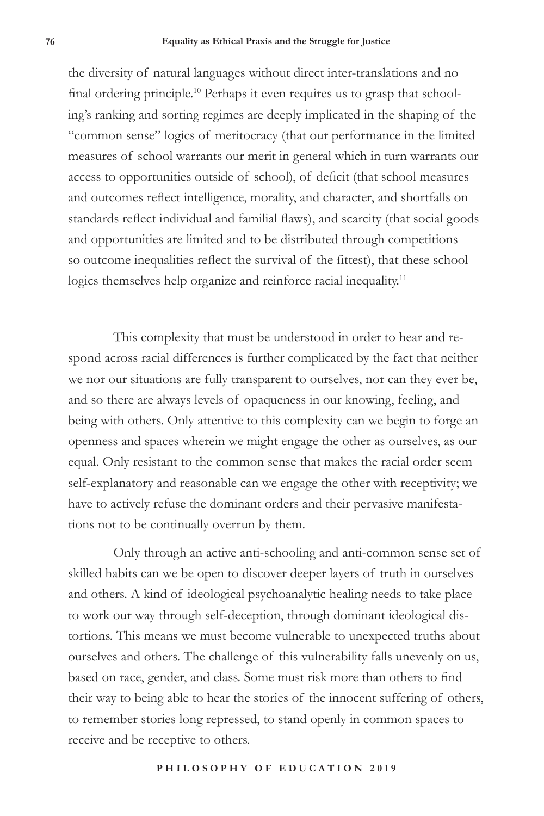the diversity of natural languages without direct inter-translations and no final ordering principle.10 Perhaps it even requires us to grasp that schooling's ranking and sorting regimes are deeply implicated in the shaping of the "common sense" logics of meritocracy (that our performance in the limited measures of school warrants our merit in general which in turn warrants our access to opportunities outside of school), of deficit (that school measures and outcomes reflect intelligence, morality, and character, and shortfalls on standards reflect individual and familial flaws), and scarcity (that social goods and opportunities are limited and to be distributed through competitions so outcome inequalities reflect the survival of the fittest), that these school logics themselves help organize and reinforce racial inequality.<sup>11</sup>

This complexity that must be understood in order to hear and respond across racial differences is further complicated by the fact that neither we nor our situations are fully transparent to ourselves, nor can they ever be, and so there are always levels of opaqueness in our knowing, feeling, and being with others. Only attentive to this complexity can we begin to forge an openness and spaces wherein we might engage the other as ourselves, as our equal. Only resistant to the common sense that makes the racial order seem self-explanatory and reasonable can we engage the other with receptivity; we have to actively refuse the dominant orders and their pervasive manifestations not to be continually overrun by them.

Only through an active anti-schooling and anti-common sense set of skilled habits can we be open to discover deeper layers of truth in ourselves and others. A kind of ideological psychoanalytic healing needs to take place to work our way through self-deception, through dominant ideological distortions. This means we must become vulnerable to unexpected truths about ourselves and others. The challenge of this vulnerability falls unevenly on us, based on race, gender, and class. Some must risk more than others to find their way to being able to hear the stories of the innocent suffering of others, to remember stories long repressed, to stand openly in common spaces to receive and be receptive to others.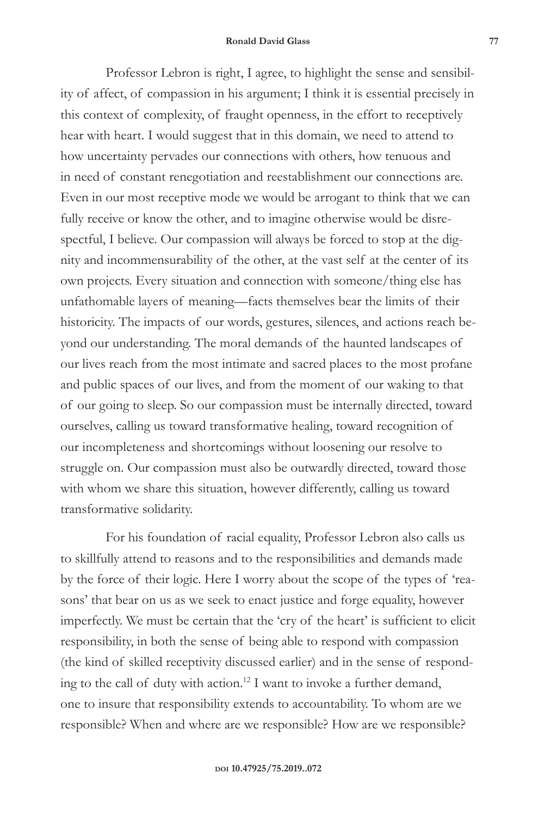## **Ronald David Glass 77**

Professor Lebron is right, I agree, to highlight the sense and sensibility of affect, of compassion in his argument; I think it is essential precisely in this context of complexity, of fraught openness, in the effort to receptively hear with heart. I would suggest that in this domain, we need to attend to how uncertainty pervades our connections with others, how tenuous and in need of constant renegotiation and reestablishment our connections are. Even in our most receptive mode we would be arrogant to think that we can fully receive or know the other, and to imagine otherwise would be disrespectful, I believe. Our compassion will always be forced to stop at the dignity and incommensurability of the other, at the vast self at the center of its own projects. Every situation and connection with someone/thing else has unfathomable layers of meaning—facts themselves bear the limits of their historicity. The impacts of our words, gestures, silences, and actions reach beyond our understanding. The moral demands of the haunted landscapes of our lives reach from the most intimate and sacred places to the most profane and public spaces of our lives, and from the moment of our waking to that of our going to sleep. So our compassion must be internally directed, toward ourselves, calling us toward transformative healing, toward recognition of our incompleteness and shortcomings without loosening our resolve to struggle on. Our compassion must also be outwardly directed, toward those with whom we share this situation, however differently, calling us toward transformative solidarity.

For his foundation of racial equality, Professor Lebron also calls us to skillfully attend to reasons and to the responsibilities and demands made by the force of their logic. Here I worry about the scope of the types of 'reasons' that bear on us as we seek to enact justice and forge equality, however imperfectly. We must be certain that the 'cry of the heart' is sufficient to elicit responsibility, in both the sense of being able to respond with compassion (the kind of skilled receptivity discussed earlier) and in the sense of responding to the call of duty with action.12 I want to invoke a further demand, one to insure that responsibility extends to accountability. To whom are we responsible? When and where are we responsible? How are we responsible?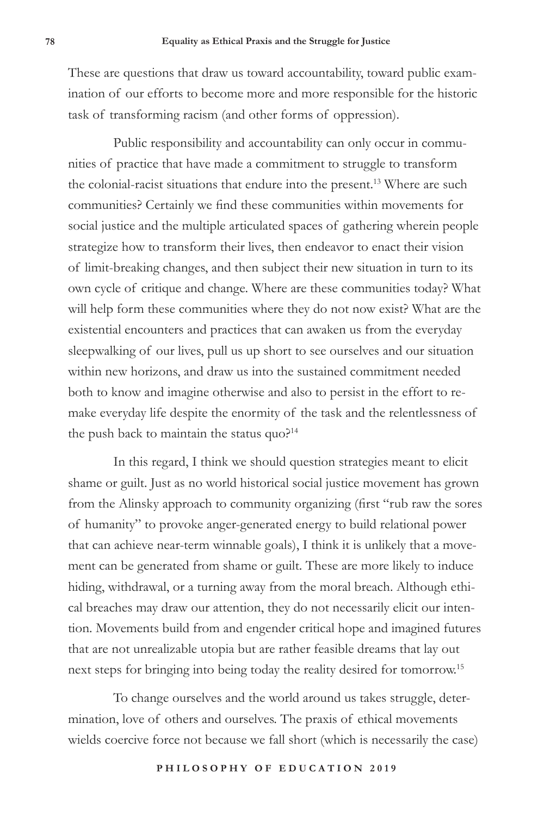These are questions that draw us toward accountability, toward public examination of our efforts to become more and more responsible for the historic task of transforming racism (and other forms of oppression).

Public responsibility and accountability can only occur in communities of practice that have made a commitment to struggle to transform the colonial-racist situations that endure into the present.<sup>13</sup> Where are such communities? Certainly we find these communities within movements for social justice and the multiple articulated spaces of gathering wherein people strategize how to transform their lives, then endeavor to enact their vision of limit-breaking changes, and then subject their new situation in turn to its own cycle of critique and change. Where are these communities today? What will help form these communities where they do not now exist? What are the existential encounters and practices that can awaken us from the everyday sleepwalking of our lives, pull us up short to see ourselves and our situation within new horizons, and draw us into the sustained commitment needed both to know and imagine otherwise and also to persist in the effort to remake everyday life despite the enormity of the task and the relentlessness of the push back to maintain the status quo?<sup>14</sup>

In this regard, I think we should question strategies meant to elicit shame or guilt. Just as no world historical social justice movement has grown from the Alinsky approach to community organizing (first "rub raw the sores of humanity" to provoke anger-generated energy to build relational power that can achieve near-term winnable goals), I think it is unlikely that a movement can be generated from shame or guilt. These are more likely to induce hiding, withdrawal, or a turning away from the moral breach. Although ethical breaches may draw our attention, they do not necessarily elicit our intention. Movements build from and engender critical hope and imagined futures that are not unrealizable utopia but are rather feasible dreams that lay out next steps for bringing into being today the reality desired for tomorrow.<sup>15</sup>

To change ourselves and the world around us takes struggle, determination, love of others and ourselves. The praxis of ethical movements wields coercive force not because we fall short (which is necessarily the case)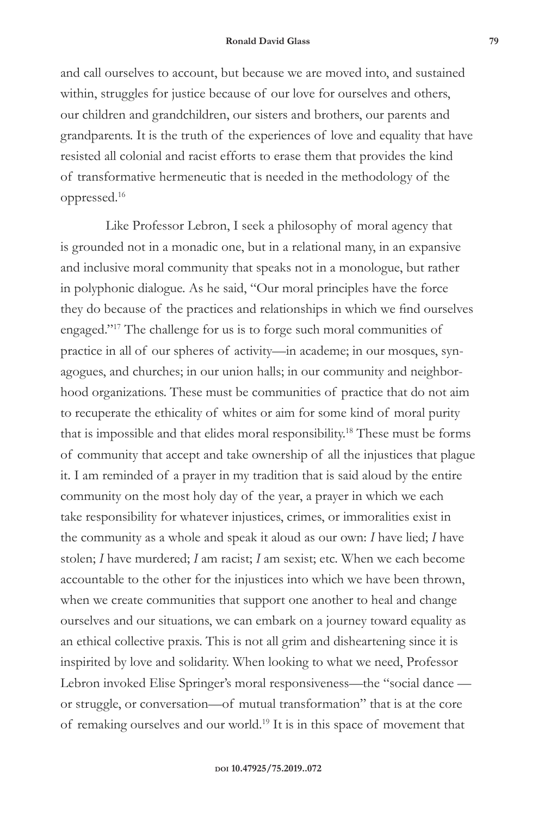## **Ronald David Glass 79**

and call ourselves to account, but because we are moved into, and sustained within, struggles for justice because of our love for ourselves and others, our children and grandchildren, our sisters and brothers, our parents and grandparents. It is the truth of the experiences of love and equality that have resisted all colonial and racist efforts to erase them that provides the kind of transformative hermeneutic that is needed in the methodology of the oppressed.16

Like Professor Lebron, I seek a philosophy of moral agency that is grounded not in a monadic one, but in a relational many, in an expansive and inclusive moral community that speaks not in a monologue, but rather in polyphonic dialogue. As he said, "Our moral principles have the force they do because of the practices and relationships in which we find ourselves engaged."17 The challenge for us is to forge such moral communities of practice in all of our spheres of activity—in academe; in our mosques, synagogues, and churches; in our union halls; in our community and neighborhood organizations. These must be communities of practice that do not aim to recuperate the ethicality of whites or aim for some kind of moral purity that is impossible and that elides moral responsibility.18 These must be forms of community that accept and take ownership of all the injustices that plague it. I am reminded of a prayer in my tradition that is said aloud by the entire community on the most holy day of the year, a prayer in which we each take responsibility for whatever injustices, crimes, or immoralities exist in the community as a whole and speak it aloud as our own: *I* have lied; *I* have stolen; *I* have murdered; *I* am racist; *I* am sexist; etc. When we each become accountable to the other for the injustices into which we have been thrown, when we create communities that support one another to heal and change ourselves and our situations, we can embark on a journey toward equality as an ethical collective praxis. This is not all grim and disheartening since it is inspirited by love and solidarity. When looking to what we need, Professor Lebron invoked Elise Springer's moral responsiveness—the "social dance or struggle, or conversation—of mutual transformation" that is at the core of remaking ourselves and our world.19 It is in this space of movement that